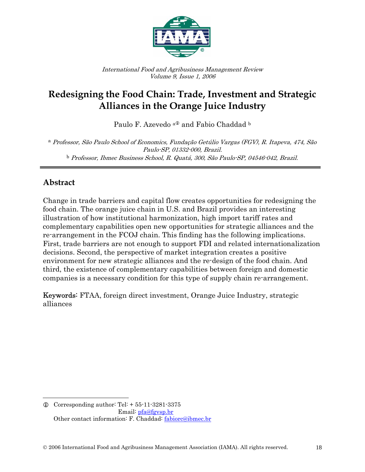

International Food and Agribusiness Management Review Volume 9, Issue 1, 2006

# **Redesigning the Food Chain: Trade, Investment and Strategic Alliances in the Orange Juice Industry**

Paulo F. Azevedo <sup>a</sup><sup>0</sup> and Fabio Chaddad <sup>b</sup>

<sup>a</sup> Professor, São Paulo School of Economics, Fundação Getúlio Vargas (FGV), R. Itapeva, 474, São Paulo-SP, 01332-000, Brazil. <sup>b</sup> Professor, Ibmec Business School, R. Quatá, 300, São Paulo-SP, 04546-042, Brazil.

### **Abstract**

 $\overline{a}$ 

Change in trade barriers and capital flow creates opportunities for redesigning the food chain. The orange juice chain in U.S. and Brazil provides an interesting illustration of how institutional harmonization, high import tariff rates and complementary capabilities open new opportunities for strategic alliances and the re-arrangement in the FCOJ chain. This finding has the following implications. First, trade barriers are not enough to support FDI and related internationalization decisions. Second, the perspective of market integration creates a positive environment for new strategic alliances and the re-design of the food chain. And third, the existence of complementary capabilities between foreign and domestic companies is a necessary condition for this type of supply chain re-arrangement.

Keywords: FTAA, foreign direct investment, Orange Juice Industry, strategic alliances

 $Q$  Corresponding author: Tel:  $+ 55 - 11 - 3281 - 3375$ Email: pfa@fgvsp.br Other contact information: F. Chaddad: fabiorc@ibmec.br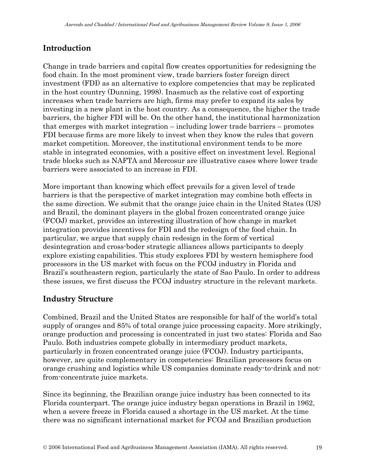## **Introduction**

Change in trade barriers and capital flow creates opportunities for redesigning the food chain. In the most prominent view, trade barriers foster foreign direct investment (FDI) as an alternative to explore competencies that may be replicated in the host country (Dunning, 1998). Inasmuch as the relative cost of exporting increases when trade barriers are high, firms may prefer to expand its sales by investing in a new plant in the host country. As a consequence, the higher the trade barriers, the higher FDI will be. On the other hand, the institutional harmonization that emerges with market integration – including lower trade barriers – promotes FDI because firms are more likely to invest when they know the rules that govern market competition. Moreover, the institutional environment tends to be more stable in integrated economies, with a positive effect on investment level. Regional trade blocks such as NAFTA and Mercosur are illustrative cases where lower trade barriers were associated to an increase in FDI.

More important than knowing which effect prevails for a given level of trade barriers is that the perspective of market integration may combine both effects in the same direction. We submit that the orange juice chain in the United States (US) and Brazil, the dominant players in the global frozen concentrated orange juice (FCOJ) market, provides an interesting illustration of how change in market integration provides incentives for FDI and the redesign of the food chain. In particular, we argue that supply chain redesign in the form of vertical desintegration and cross-boder strategic alliances allows participants to deeply explore existing capabilities. This study explores FDI by western hemisphere food processors in the US market with focus on the FCOJ industry in Florida and Brazil's southeastern region, particularly the state of Sao Paulo. In order to address these issues, we first discuss the FCOJ industry structure in the relevant markets.

## **Industry Structure**

Combined, Brazil and the United States are responsible for half of the world's total supply of oranges and 85% of total orange juice processing capacity. More strikingly, orange production and processing is concentrated in just two states: Florida and Sao Paulo. Both industries compete globally in intermediary product markets, particularly in frozen concentrated orange juice (FCOJ). Industry participants, however, are quite complementary in competencies: Brazilian processors focus on orange crushing and logistics while US companies dominate ready-to-drink and notfrom-concentrate juice markets.

Since its beginning, the Brazilian orange juice industry has been connected to its Florida counterpart. The orange juice industry began operations in Brazil in 1962, when a severe freeze in Florida caused a shortage in the US market. At the time there was no significant international market for FCOJ and Brazilian production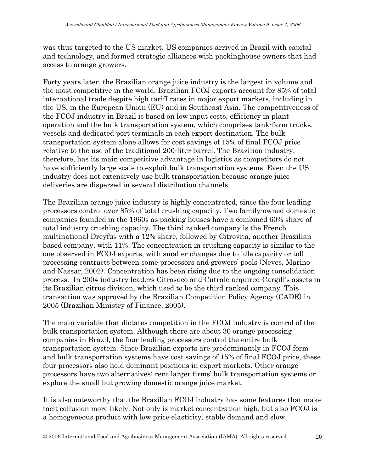was thus targeted to the US market. US companies arrived in Brazil with capital and technology, and formed strategic alliances with packinghouse owners that had access to orange growers.

Forty years later, the Brazilian orange juice industry is the largest in volume and the most competitive in the world. Brazilian FCOJ exports account for 85% of total international trade despite high tariff rates in major export markets, including in the US, in the European Union (EU) and in Southeast Asia. The competitiveness of the FCOJ industry in Brazil is based on low input costs, efficiency in plant operation and the bulk transportation system, which comprises tank-farm trucks, vessels and dedicated port terminals in each export destination. The bulk transportation system alone allows for cost savings of 15% of final FCOJ price relative to the use of the traditional 200-liter barrel. The Brazilian industry, therefore, has its main competitive advantage in logistics as competitors do not have sufficiently large scale to exploit bulk transportation systems. Even the US industry does not extensively use bulk transportation because orange juice deliveries are dispersed in several distribution channels.

The Brazilian orange juice industry is highly concentrated, since the four leading processors control over 85% of total crushing capacity. Two family-owned domestic companies founded in the 1960s as packing houses have a combined 60% share of total industry crushing capacity. The third ranked company is the French multinational Dreyfus with a 12% share, followed by Citrovita, another Brazilian based company, with 11%. The concentration in crushing capacity is similar to the one observed in FCOJ exports, with smaller changes due to idle capacity or toll processing contracts between some processors and growers' pools (Neves, Marino and Nassar, 2002). Concentration has been rising due to the ongoing consolidation process. In 2004 industry leaders Citrosuco and Cutrale acquired Cargill's assets in its Brazilian citrus division, which used to be the third ranked company. This transaction was approved by the Brazilian Competition Policy Agency (CADE) in 2005 (Brazilian Ministry of Finance, 2005).

The main variable that dictates competition in the FCOJ industry is control of the bulk transportation system. Although there are about 30 orange processing companies in Brazil, the four leading processors control the entire bulk transportation system. Since Brazilian exports are predominantly in FCOJ form and bulk transportation systems have cost savings of 15% of final FCOJ price, these four processors also hold dominant positions in export markets. Other orange processors have two alternatives: rent larger firms' bulk transportation systems or explore the small but growing domestic orange juice market.

It is also noteworthy that the Brazilian FCOJ industry has some features that make tacit collusion more likely. Not only is market concentration high, but also FCOJ is a homogeneous product with low price elasticity, stable demand and slow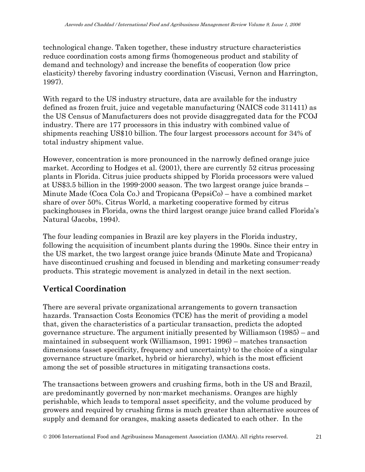technological change. Taken together, these industry structure characteristics reduce coordination costs among firms (homogeneous product and stability of demand and technology) and increase the benefits of cooperation (low price elasticity) thereby favoring industry coordination (Viscusi, Vernon and Harrington, 1997).

With regard to the US industry structure, data are available for the industry defined as frozen fruit, juice and vegetable manufacturing (NAICS code 311411) as the US Census of Manufacturers does not provide disaggregated data for the FCOJ industry. There are 177 processors in this industry with combined value of shipments reaching US\$10 billion. The four largest processors account for 34% of total industry shipment value.

However, concentration is more pronounced in the narrowly defined orange juice market. According to Hodges et al. (2001), there are currently 52 citrus processing plants in Florida. Citrus juice products shipped by Florida processors were valued at US\$3.5 billion in the 1999-2000 season. The two largest orange juice brands – Minute Made (Coca Cola Co.) and Tropicana (PepsiCo) – have a combined market share of over 50%. Citrus World, a marketing cooperative formed by citrus packinghouses in Florida, owns the third largest orange juice brand called Florida's Natural (Jacobs, 1994).

The four leading companies in Brazil are key players in the Florida industry, following the acquisition of incumbent plants during the 1990s. Since their entry in the US market, the two largest orange juice brands (Minute Mate and Tropicana) have discontinued crushing and focused in blending and marketing consumer-ready products. This strategic movement is analyzed in detail in the next section.

#### **Vertical Coordination**

There are several private organizational arrangements to govern transaction hazards. Transaction Costs Economics (TCE) has the merit of providing a model that, given the characteristics of a particular transaction, predicts the adopted governance structure. The argument initially presented by Williamson (1985) – and maintained in subsequent work (Williamson, 1991; 1996) – matches transaction dimensions (asset specificity, frequency and uncertainty) to the choice of a singular governance structure (market, hybrid or hierarchy), which is the most efficient among the set of possible structures in mitigating transactions costs.

The transactions between growers and crushing firms, both in the US and Brazil, are predominantly governed by non-market mechanisms. Oranges are highly perishable, which leads to temporal asset specificity, and the volume produced by growers and required by crushing firms is much greater than alternative sources of supply and demand for oranges, making assets dedicated to each other. In the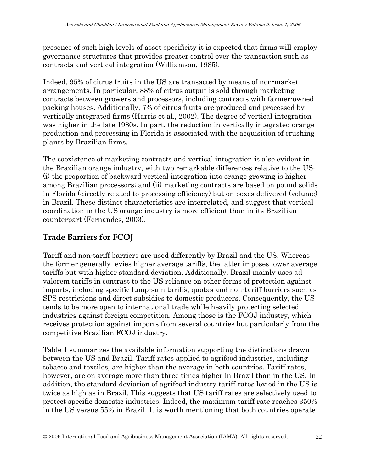presence of such high levels of asset specificity it is expected that firms will employ governance structures that provides greater control over the transaction such as contracts and vertical integration (Williamson, 1985).

Indeed, 95% of citrus fruits in the US are transacted by means of non-market arrangements. In particular, 88% of citrus output is sold through marketing contracts between growers and processors, including contracts with farmer-owned packing houses. Additionally, 7% of citrus fruits are produced and processed by vertically integrated firms (Harris et al., 2002). The degree of vertical integration was higher in the late 1980s. In part, the reduction in vertically integrated orange production and processing in Florida is associated with the acquisition of crushing plants by Brazilian firms.

The coexistence of marketing contracts and vertical integration is also evident in the Brazilian orange industry, with two remarkable differences relative to the US: (i) the proportion of backward vertical integration into orange growing is higher among Brazilian processors; and (ii) marketing contracts are based on pound solids in Florida (directly related to processing efficiency) but on boxes delivered (volume) in Brazil. These distinct characteristics are interrelated, and suggest that vertical coordination in the US orange industry is more efficient than in its Brazilian counterpart (Fernandes, 2003).

## **Trade Barriers for FCOJ**

Tariff and non-tariff barriers are used differently by Brazil and the US. Whereas the former generally levies higher average tariffs, the latter imposes lower average tariffs but with higher standard deviation. Additionally, Brazil mainly uses ad valorem tariffs in contrast to the US reliance on other forms of protection against imports, including specific lump-sum tariffs, quotas and non-tariff barriers such as SPS restrictions and direct subsidies to domestic producers. Consequently, the US tends to be more open to international trade while heavily protecting selected industries against foreign competition. Among those is the FCOJ industry, which receives protection against imports from several countries but particularly from the competitive Brazilian FCOJ industry.

Table 1 summarizes the available information supporting the distinctions drawn between the US and Brazil. Tariff rates applied to agrifood industries, including tobacco and textiles, are higher than the average in both countries. Tariff rates, however, are on average more than three times higher in Brazil than in the US. In addition, the standard deviation of agrifood industry tariff rates levied in the US is twice as high as in Brazil. This suggests that US tariff rates are selectively used to protect specific domestic industries. Indeed, the maximum tariff rate reaches 350% in the US versus 55% in Brazil. It is worth mentioning that both countries operate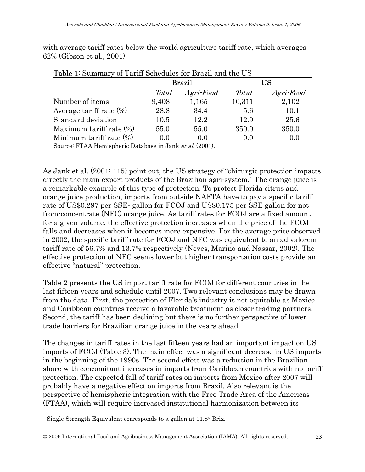with average tariff rates below the world agriculture tariff rate, which averages 62% (Gibson et al., 2001).

| <b>Lable 1'</b> Duminally 01 Latin Delicuties for Drazil and the OD |       |           |              |           |  |
|---------------------------------------------------------------------|-------|-----------|--------------|-----------|--|
|                                                                     |       | Brazil    | US           |           |  |
|                                                                     | Total | Agri-Food | <i>Total</i> | Agri-Food |  |
| Number of items                                                     | 9,408 | 1,165     | 10,311       | 2,102     |  |
| Average tariff rate $(\%)$                                          | 28.8  | 34.4      | 5.6          | 10.1      |  |
| Standard deviation                                                  | 10.5  | 12.2      | 12.9         | 25.6      |  |
|                                                                     | 55.0  | 55.0      | 350.0        | 350.0     |  |
| Minimum tariff rate $(\%)$                                          | 0.0   | (0.0)     | (0.0)        | 0.0       |  |
| Maximum tariff rate $(\%)$                                          |       |           |              |           |  |

Table 1: Summary of Tariff Schedules for Brazil and the US

Source: FTAA Hemispheric Database in Jank et al. (2001).

As Jank et al. (2001: 115) point out, the US strategy of "chirurgic protection impacts directly the main export products of the Brazilian agri-system." The orange juice is a remarkable example of this type of protection. To protect Florida citrus and orange juice production, imports from outside NAFTA have to pay a specific tariff rate of US\$0.297 per SSE<sup>1</sup> gallon for FCOJ and US\$0.175 per SSE gallon for notfrom-concentrate (NFC) orange juice. As tariff rates for FCOJ are a fixed amount for a given volume, the effective protection increases when the price of the FCOJ falls and decreases when it becomes more expensive. For the average price observed in 2002, the specific tariff rate for FCOJ and NFC was equivalent to an ad valorem tariff rate of 56.7% and 13.7% respectively (Neves, Marino and Nassar, 2002). The effective protection of NFC seems lower but higher transportation costs provide an effective "natural" protection.

Table 2 presents the US import tariff rate for FCOJ for different countries in the last fifteen years and schedule until 2007. Two relevant conclusions may be drawn from the data. First, the protection of Florida's industry is not equitable as Mexico and Caribbean countries receive a favorable treatment as closer trading partners. Second, the tariff has been declining but there is no further perspective of lower trade barriers for Brazilian orange juice in the years ahead.

The changes in tariff rates in the last fifteen years had an important impact on US imports of FCOJ (Table 3). The main effect was a significant decrease in US imports in the beginning of the 1990s. The second effect was a reduction in the Brazilian share with concomitant increases in imports from Caribbean countries with no tariff protection. The expected fall of tariff rates on imports from Mexico after 2007 will probably have a negative effect on imports from Brazil. Also relevant is the perspective of hemispheric integration with the Free Trade Area of the Americas (FTAA), which will require increased institutional harmonization between its

 $\overline{a}$ 

<sup>&</sup>lt;sup>1</sup> Single Strength Equivalent corresponds to a gallon at 11.8° Brix.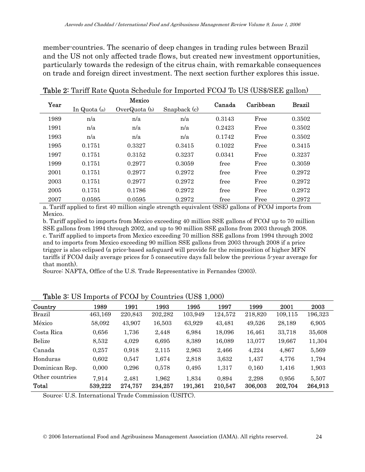member-countries. The scenario of deep changes in trading rules between Brazil and the US not only affected trade flows, but created new investment opportunities, particularly towards the redesign of the citrus chain, with remarkable consequences on trade and foreign direct investment. The next section further explores this issue.

| Year |              | Mexico          |              |        | Caribbean | <b>Brazil</b> |
|------|--------------|-----------------|--------------|--------|-----------|---------------|
|      | In Quota (a) | OverQuota $(b)$ | Snapback (c) | Canada |           |               |
| 1989 | n/a          | n/a             | n/a          | 0.3143 | Free      | 0.3502        |
| 1991 | n/a          | n/a             | n/a          | 0.2423 | Free      | 0.3502        |
| 1993 | n/a          | n/a             | n/a          | 0.1742 | Free      | 0.3502        |
| 1995 | 0.1751       | 0.3327          | 0.3415       | 0.1022 | Free      | 0.3415        |
| 1997 | 0.1751       | 0.3152          | 0.3237       | 0.0341 | Free      | 0.3237        |
| 1999 | 0.1751       | 0.2977          | 0.3059       | free   | Free      | 0.3059        |
| 2001 | 0.1751       | 0.2977          | 0.2972       | free   | Free      | 0.2972        |
| 2003 | 0.1751       | 0.2977          | 0.2972       | free   | Free      | 0.2972        |
| 2005 | 0.1751       | 0.1786          | 0.2972       | free   | Free      | 0.2972        |
| 2007 | 0.0595       | 0.0595          | 0.2972       | free   | Free      | 0.2972        |

Table 2: Tariff Rate Quota Schedule for Imported FCOJ To US (US\$/SEE gallon)

a. Tariff applied to first 40 million single strength equivalent (SSE) gallons of FCOJ imports from Mexico.

b. Tariff applied to imports from Mexico exceeding 40 million SSE gallons of FCOJ up to 70 million SSE gallons from 1994 through 2002, and up to 90 million SSE gallons from 2003 through 2008. c. Tariff applied to imports from Mexico exceeding 70 million SSE gallons from 1994 through 2002 and to imports from Mexico exceeding 90 million SSE gallons from 2003 through 2008 if a price trigger is also eclipsed (a price-based safeguard will provide for the reimposition of higher MFN tariffs if FCOJ daily average prices for 5 consecutive days fall below the previous 5-year average for that month).

Source: NAFTA, Office of the U.S. Trade Representative in Fernandes (2003).

| Country         | 1989    | 1991    | 1993    | 1995    | 1997    | 1999    | 2001    | 2003    |
|-----------------|---------|---------|---------|---------|---------|---------|---------|---------|
| <b>Brazil</b>   | 463,169 | 220,843 | 202,282 | 103,949 | 124,572 | 218,820 | 109,115 | 196,323 |
| México          | 58,092  | 43,907  | 16,503  | 63,929  | 43,481  | 49,526  | 28,189  | 6,905   |
| Costa Rica      | 0,656   | 1,736   | 2,448   | 6,984   | 18,096  | 16,461  | 33,718  | 35,608  |
| Belize          | 8,532   | 4,029   | 6,695   | 8,389   | 16,089  | 13,077  | 19,667  | 11,304  |
| Canada          | 0,257   | 0,918   | 2,115   | 2,963   | 2,466   | 4,224   | 4,867   | 5,569   |
| Honduras        | 0.602   | 0,547   | 1,674   | 2,818   | 3,632   | 1,437   | 4,776   | 1,794   |
| Dominican Rep.  | 0,000   | 0,296   | 0,578   | 0,495   | 1,317   | 0,160   | 1,416   | 1,903   |
| Other countries | 7,914   | 2.481   | 1,962   | 1,834   | 0,894   | 2,298   | 0,956   | 5.507   |
| Total           | 539,222 | 274,757 | 234,257 | 191,361 | 210,547 | 306,003 | 202,704 | 264,913 |

Table 3: US Imports of FCOJ by Countries (US\$ 1,000)

Source: U.S. International Trade Commission (USITC).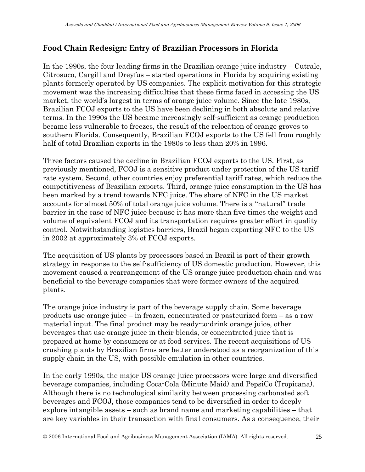## **Food Chain Redesign: Entry of Brazilian Processors in Florida**

In the 1990s, the four leading firms in the Brazilian orange juice industry – Cutrale, Citrosuco, Cargill and Dreyfus – started operations in Florida by acquiring existing plants formerly operated by US companies. The explicit motivation for this strategic movement was the increasing difficulties that these firms faced in accessing the US market, the world's largest in terms of orange juice volume. Since the late 1980s, Brazilian FCOJ exports to the US have been declining in both absolute and relative terms. In the 1990s the US became increasingly self-sufficient as orange production became less vulnerable to freezes, the result of the relocation of orange groves to southern Florida. Consequently, Brazilian FCOJ exports to the US fell from roughly half of total Brazilian exports in the 1980s to less than 20% in 1996.

Three factors caused the decline in Brazilian FCOJ exports to the US. First, as previously mentioned, FCOJ is a sensitive product under protection of the US tariff rate system. Second, other countries enjoy preferential tariff rates, which reduce the competitiveness of Brazilian exports. Third, orange juice consumption in the US has been marked by a trend towards NFC juice. The share of NFC in the US market accounts for almost 50% of total orange juice volume. There is a "natural" trade barrier in the case of NFC juice because it has more than five times the weight and volume of equivalent FCOJ and its transportation requires greater effort in quality control. Notwithstanding logistics barriers, Brazil began exporting NFC to the US in 2002 at approximately 3% of FCOJ exports.

The acquisition of US plants by processors based in Brazil is part of their growth strategy in response to the self-sufficiency of US domestic production. However, this movement caused a rearrangement of the US orange juice production chain and was beneficial to the beverage companies that were former owners of the acquired plants.

The orange juice industry is part of the beverage supply chain. Some beverage products use orange juice – in frozen, concentrated or pasteurized form – as a raw material input. The final product may be ready-to-drink orange juice, other beverages that use orange juice in their blends, or concentrated juice that is prepared at home by consumers or at food services. The recent acquisitions of US crushing plants by Brazilian firms are better understood as a reorganization of this supply chain in the US, with possible emulation in other countries.

In the early 1990s, the major US orange juice processors were large and diversified beverage companies, including Coca-Cola (Minute Maid) and PepsiCo (Tropicana). Although there is no technological similarity between processing carbonated soft beverages and FCOJ, those companies tend to be diversified in order to deeply explore intangible assets – such as brand name and marketing capabilities – that are key variables in their transaction with final consumers. As a consequence, their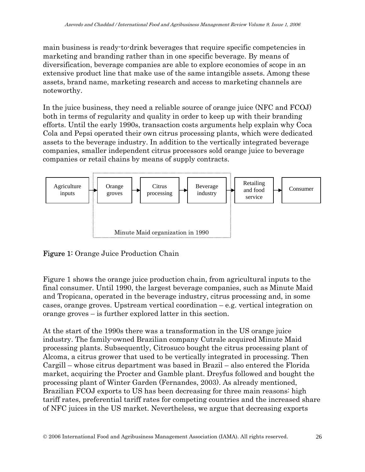main business is ready-to-drink beverages that require specific competencies in marketing and branding rather than in one specific beverage. By means of diversification, beverage companies are able to explore economies of scope in an extensive product line that make use of the same intangible assets. Among these assets, brand name, marketing research and access to marketing channels are noteworthy.

In the juice business, they need a reliable source of orange juice (NFC and FCOJ) both in terms of regularity and quality in order to keep up with their branding efforts. Until the early 1990s, transaction costs arguments help explain why Coca Cola and Pepsi operated their own citrus processing plants, which were dedicated assets to the beverage industry. In addition to the vertically integrated beverage companies, smaller independent citrus processors sold orange juice to beverage companies or retail chains by means of supply contracts.



Figure 1: Orange Juice Production Chain

Figure 1 shows the orange juice production chain, from agricultural inputs to the final consumer. Until 1990, the largest beverage companies, such as Minute Maid and Tropicana, operated in the beverage industry, citrus processing and, in some cases, orange groves. Upstream vertical coordination – e.g. vertical integration on orange groves – is further explored latter in this section.

At the start of the 1990s there was a transformation in the US orange juice industry. The family-owned Brazilian company Cutrale acquired Minute Maid processing plants. Subsequently, Citrosuco bought the citrus processing plant of Alcoma, a citrus grower that used to be vertically integrated in processing. Then Cargill – whose citrus department was based in Brazil – also entered the Florida market, acquiring the Procter and Gamble plant. Dreyfus followed and bought the processing plant of Winter Garden (Fernandes, 2003). As already mentioned, Brazilian FCOJ exports to US has been decreasing for three main reasons: high tariff rates, preferential tariff rates for competing countries and the increased share of NFC juices in the US market. Nevertheless, we argue that decreasing exports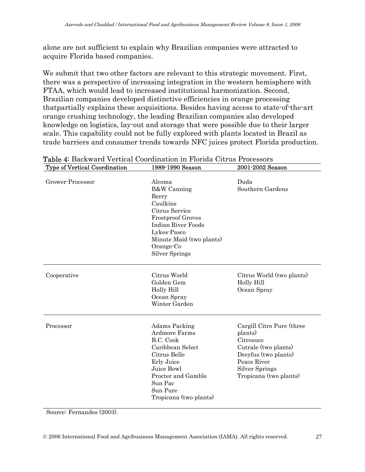alone are not sufficient to explain why Brazilian companies were attracted to acquire Florida based companies.

We submit that two other factors are relevant to this strategic movement. First, there was a perspective of increasing integration in the western hemisphere with FTAA, which would lead to increased institutional harmonization. Second, Brazilian companies developed distinctive efficiencies in orange processing thatpartially explains these acquisitions. Besides having access to state-of-the-art orange crushing technology, the leading Brazilian companies also developed knowledge on logistics, lay-out and storage that were possible due to their larger scale. This capability could not be fully explored with plants located in Brazil as trade barriers and consumer trends towards NFC juices protect Florida production.

| <b>Type of Vertical Coordination</b> | 1989-1990 Season                                                                                                                                                                                       | 2001-2002 Season                                                                                                                                                    |  |
|--------------------------------------|--------------------------------------------------------------------------------------------------------------------------------------------------------------------------------------------------------|---------------------------------------------------------------------------------------------------------------------------------------------------------------------|--|
| Grower-Processor                     | Alcoma<br>B&W Canning<br>Berry<br>Caulkins<br>Citrus Service<br><b>Frostproof Groves</b><br><b>Indian River Foods</b><br>Lykes-Pasco<br>Minute Maid (two plants)<br>Orange-Co<br><b>Silver Springs</b> | Duda<br>Southern Gardens                                                                                                                                            |  |
| Cooperative                          | Citrus World<br>Golden Gem<br>Holly Hill<br>Ocean Spray<br>Winter Garden                                                                                                                               | Citrus World (two plants)<br>Holly Hill<br>Ocean Spray                                                                                                              |  |
| Processor                            | Adams Packing<br>Ardmore Farms<br>B.C. Cook<br>Caribbean Select<br>Citrus Belle<br>Erly Juice<br>Juice Bowl<br>Procter and Gamble<br>Sun Pac<br>Sun Pure<br>Tropicana (two plants)                     | Cargill Citro Pure (three<br>plants)<br>Citrosuco<br>Cutrale (two plants)<br>Dreyfus (two plants)<br>Peace River<br><b>Silver Springs</b><br>Tropicana (two plants) |  |

Table 4: Backward Vertical Coordination in Florida Citrus Processors

Source: Fernandes (2003).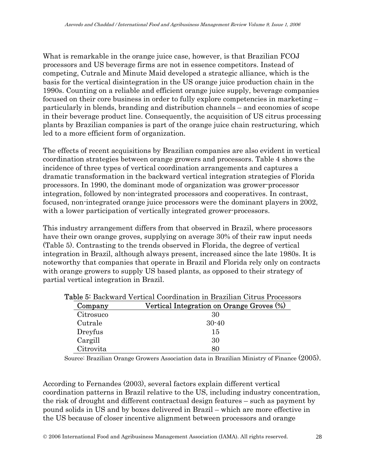What is remarkable in the orange juice case, however, is that Brazilian FCOJ processors and US beverage firms are not in essence competitors. Instead of competing, Cutrale and Minute Maid developed a strategic alliance, which is the basis for the vertical disintegration in the US orange juice production chain in the 1990s. Counting on a reliable and efficient orange juice supply, beverage companies focused on their core business in order to fully explore competencies in marketing – particularly in blends, branding and distribution channels – and economies of scope in their beverage product line. Consequently, the acquisition of US citrus processing plants by Brazilian companies is part of the orange juice chain restructuring, which led to a more efficient form of organization.

The effects of recent acquisitions by Brazilian companies are also evident in vertical coordination strategies between orange growers and processors. Table 4 shows the incidence of three types of vertical coordination arrangements and captures a dramatic transformation in the backward vertical integration strategies of Florida processors. In 1990, the dominant mode of organization was grower-processor integration, followed by non-integrated processors and cooperatives. In contrast, focused, non-integrated orange juice processors were the dominant players in 2002, with a lower participation of vertically integrated grower-processors.

This industry arrangement differs from that observed in Brazil, where processors have their own orange groves, supplying on average 30% of their raw input needs (Table 5). Contrasting to the trends observed in Florida, the degree of vertical integration in Brazil, although always present, increased since the late 1980s. It is noteworthy that companies that operate in Brazil and Florida rely only on contracts with orange growers to supply US based plants, as opposed to their strategy of partial vertical integration in Brazil.

| Company   | Vertical Integration on Orange Groves (%) |  |  |
|-----------|-------------------------------------------|--|--|
| Citrosuco | 30                                        |  |  |
| Cutrale   | $30 - 40$                                 |  |  |
| Dreyfus   | 15                                        |  |  |
| Cargill   | 30                                        |  |  |
| Citrovita | 80                                        |  |  |

| <b>Table 5:</b> Backward Vertical Coordination in Brazilian Citrus Processors |  |  |
|-------------------------------------------------------------------------------|--|--|
|                                                                               |  |  |

Source: Brazilian Orange Growers Association data in Brazilian Ministry of Finance (2005).

According to Fernandes (2003), several factors explain different vertical coordination patterns in Brazil relative to the US, including industry concentration, the risk of drought and different contractual design features – such as payment by pound solids in US and by boxes delivered in Brazil – which are more effective in the US because of closer incentive alignment between processors and orange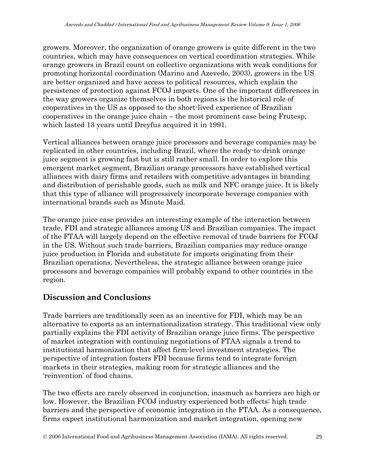growers. Moreover, the organization of orange growers is quite different in the two countries, which may have consequences on vertical coordination strategies. While orange growers in Brazil count on collective organizations with weak conditions for promoting horizontal coordination (Marino and Azevedo, 2003), growers in the US are better organized and have access to political resources, which explain the persistence of protection against FCOJ imports. One of the important differences in the way growers organize themselves in both regions is the historical role of cooperatives in the US as opposed to the short-lived experience of Brazilian cooperatives in the orange juice chain – the most prominent case being Frutesp, which lasted 13 years until Dreyfus acquired it in 1991.

Vertical alliances between orange juice processors and beverage companies may be replicated in other countries, including Brazil, where the ready-to-drink orange juice segment is growing fast but is still rather small. In order to explore this emergent market segment, Brazilian orange processors have established vertical alliances with dairy firms and retailers with competitive advantages in branding and distribution of perishable goods, such as milk and NFC orange juice. It is likely that this type of alliance will progressively incorporate beverage companies with international brands such as Minute Maid.

The orange juice case provides an interesting example of the interaction between trade, FDI and strategic alliances among US and Brazilian companies. The impact of the FTAA will largely depend on the effective removal of trade barriers for FCOJ in the US. Without such trade barriers, Brazilian companies may reduce orange juice production in Florida and substitute for imports originating from their Brazilian operations. Nevertheless, the strategic alliance between orange juice processors and beverage companies will probably expand to other countries in the region.

#### **Discussion and Conclusions**

Trade barriers are traditionally seen as an incentive for FDI, which may be an alternative to exports as an internationalization strategy. This traditional view only partially explains the FDI activity of Brazilian orange juice firms. The perspective of market integration with continuing negotiations of FTAA signals a trend to institutional harmonization that affect firm-level investment strategies. The perspective of integration fosters FDI because firms tend to integrate foreign markets in their strategies, making room for strategic alliances and the 'reinvention' of food chains.

The two effects are rarely observed in conjunction, inasmuch as barriers are high or low. However, the Brazilian FCOJ industry experienced both effects: high trade barriers and the perspective of economic integration in the FTAA. As a consequence, firms expect institutional harmonization and market integration, opening new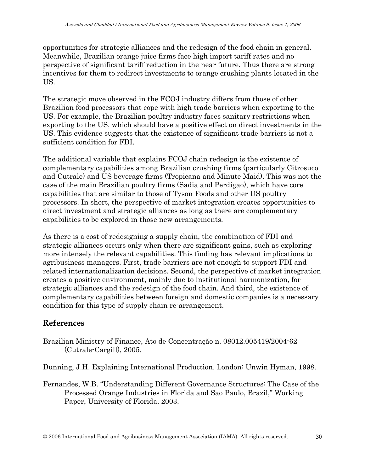opportunities for strategic alliances and the redesign of the food chain in general. Meanwhile, Brazilian orange juice firms face high import tariff rates and no perspective of significant tariff reduction in the near future. Thus there are strong incentives for them to redirect investments to orange crushing plants located in the US.

The strategic move observed in the FCOJ industry differs from those of other Brazilian food processors that cope with high trade barriers when exporting to the US. For example, the Brazilian poultry industry faces sanitary restrictions when exporting to the US, which should have a positive effect on direct investments in the US. This evidence suggests that the existence of significant trade barriers is not a sufficient condition for FDI.

The additional variable that explains FCOJ chain redesign is the existence of complementary capabilities among Brazilian crushing firms (particularly Citrosuco and Cutrale) and US beverage firms (Tropicana and Minute Maid). This was not the case of the main Brazilian poultry firms (Sadia and Perdigao), which have core capabilities that are similar to those of Tyson Foods and other US poultry processors. In short, the perspective of market integration creates opportunities to direct investment and strategic alliances as long as there are complementary capabilities to be explored in those new arrangements.

As there is a cost of redesigning a supply chain, the combination of FDI and strategic alliances occurs only when there are significant gains, such as exploring more intensely the relevant capabilities. This finding has relevant implications to agribusiness managers. First, trade barriers are not enough to support FDI and related internationalization decisions. Second, the perspective of market integration creates a positive environment, mainly due to institutional harmonization, for strategic alliances and the redesign of the food chain. And third, the existence of complementary capabilities between foreign and domestic companies is a necessary condition for this type of supply chain re-arrangement.

#### **References**

Brazilian Ministry of Finance, Ato de Concentração n. 08012.005419/2004-62 (Cutrale-Cargill), 2005.

Dunning, J.H. Explaining International Production. London: Unwin Hyman, 1998.

Fernandes, W.B. "Understanding Different Governance Structures: The Case of the Processed Orange Industries in Florida and Sao Paulo, Brazil," Working Paper, University of Florida, 2003.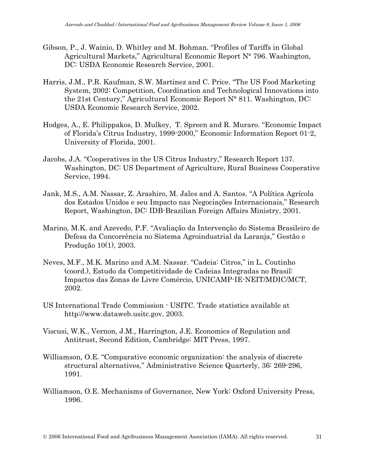- Gibson, P., J. Wainio, D. Whitley and M. Bohman. "Profiles of Tariffs in Global Agricultural Markets," Agricultural Economic Report N° 796. Washington, DC: USDA Economic Research Service, 2001.
- Harris, J.M., P.R. Kaufman, S.W. Martinez and C. Price. "The US Food Marketing System, 2002: Competition, Coordination and Technological Innovations into the 21st Century," Agricultural Economic Report N° 811. Washington, DC: USDA Economic Research Service, 2002.
- Hodges, A., E. Philippakos, D. Mulkey, T. Spreen and R. Muraro. "Economic Impact of Florida's Citrus Industry, 1999-2000," Economic Information Report 01-2, University of Florida, 2001.
- Jacobs, J.A. "Cooperatives in the US Citrus Industry," Research Report 137. Washington, DC: US Department of Agriculture, Rural Business Cooperative Service, 1994.
- Jank, M.S., A.M. Nassar, Z. Arashiro, M. Jales and A. Santos. "A Política Agrícola dos Estados Unidos e seu Impacto nas Negociações Internacionais," Research Report, Washington, DC: IDB-Brazilian Foreign Affairs Ministry, 2001.
- Marino, M.K. and Azevedo, P.F. "Avaliação da Intervenção do Sistema Brasileiro de Defesa da Concorrência no Sistema Agroindustrial da Laranja," Gestão e Produção 10(1), 2003.
- Neves, M.F., M.K. Marino and A.M. Nassar. "Cadeia: Citros," in L. Coutinho (coord.), Estudo da Competitividade de Cadeias Integradas no Brasil: Impactos das Zonas de Livre Comércio, UNICAMP-IE-NEIT/MDIC/MCT, 2002.
- US International Trade Commission USITC. Trade statistics available at http://www.dataweb.usitc.gov. 2003.
- Viscusi, W.K., Vernon, J.M., Harrington, J.E. Economics of Regulation and Antitrust, Second Edition, Cambridge: MIT Press, 1997.
- Williamson, O.E. "Comparative economic organization: the analysis of discrete structural alternatives," Administrative Science Quarterly, 36: 269-296, 1991.
- Williamson, O.E. Mechanisms of Governance, New York: Oxford University Press, 1996.